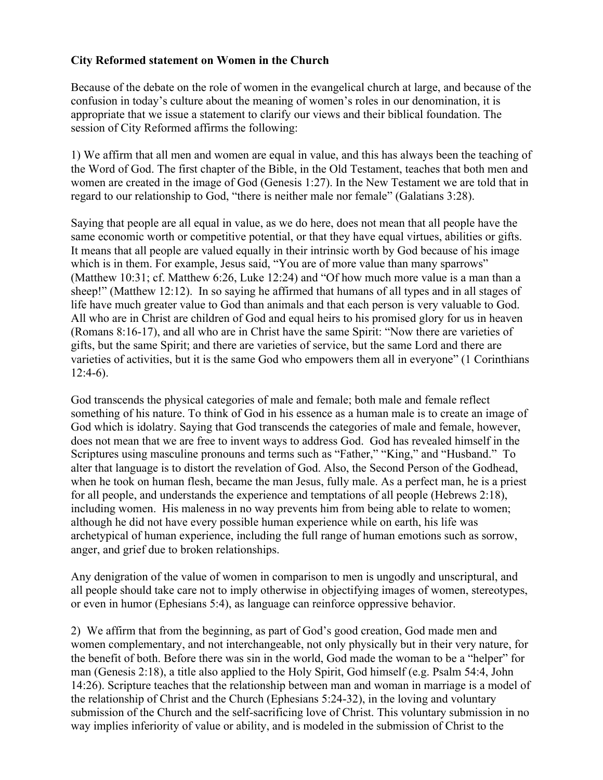## **City Reformed statement on Women in the Church**

Because of the debate on the role of women in the evangelical church at large, and because of the confusion in today's culture about the meaning of women's roles in our denomination, it is appropriate that we issue a statement to clarify our views and their biblical foundation. The session of City Reformed affirms the following:

1) We affirm that all men and women are equal in value, and this has always been the teaching of the Word of God. The first chapter of the Bible, in the Old Testament, teaches that both men and women are created in the image of God (Genesis 1:27). In the New Testament we are told that in regard to our relationship to God, "there is neither male nor female" (Galatians 3:28).

Saying that people are all equal in value, as we do here, does not mean that all people have the same economic worth or competitive potential, or that they have equal virtues, abilities or gifts. It means that all people are valued equally in their intrinsic worth by God because of his image which is in them. For example, Jesus said, "You are of more value than many sparrows" (Matthew 10:31; cf. Matthew 6:26, Luke 12:24) and "Of how much more value is a man than a sheep!" (Matthew 12:12). In so saying he affirmed that humans of all types and in all stages of life have much greater value to God than animals and that each person is very valuable to God. All who are in Christ are children of God and equal heirs to his promised glory for us in heaven (Romans 8:16-17), and all who are in Christ have the same Spirit: "Now there are varieties of gifts, but the same Spirit; and there are varieties of service, but the same Lord and there are varieties of activities, but it is the same God who empowers them all in everyone" (1 Corinthians  $12:4-6$ ).

God transcends the physical categories of male and female; both male and female reflect something of his nature. To think of God in his essence as a human male is to create an image of God which is idolatry. Saying that God transcends the categories of male and female, however, does not mean that we are free to invent ways to address God. God has revealed himself in the Scriptures using masculine pronouns and terms such as "Father," "King," and "Husband." To alter that language is to distort the revelation of God. Also, the Second Person of the Godhead, when he took on human flesh, became the man Jesus, fully male. As a perfect man, he is a priest for all people, and understands the experience and temptations of all people (Hebrews 2:18), including women. His maleness in no way prevents him from being able to relate to women; although he did not have every possible human experience while on earth, his life was archetypical of human experience, including the full range of human emotions such as sorrow, anger, and grief due to broken relationships.

Any denigration of the value of women in comparison to men is ungodly and unscriptural, and all people should take care not to imply otherwise in objectifying images of women, stereotypes, or even in humor (Ephesians 5:4), as language can reinforce oppressive behavior.

2) We affirm that from the beginning, as part of God's good creation, God made men and women complementary, and not interchangeable, not only physically but in their very nature, for the benefit of both. Before there was sin in the world, God made the woman to be a "helper" for man (Genesis 2:18), a title also applied to the Holy Spirit, God himself (e.g. Psalm 54:4, John 14:26). Scripture teaches that the relationship between man and woman in marriage is a model of the relationship of Christ and the Church (Ephesians 5:24-32), in the loving and voluntary submission of the Church and the self-sacrificing love of Christ. This voluntary submission in no way implies inferiority of value or ability, and is modeled in the submission of Christ to the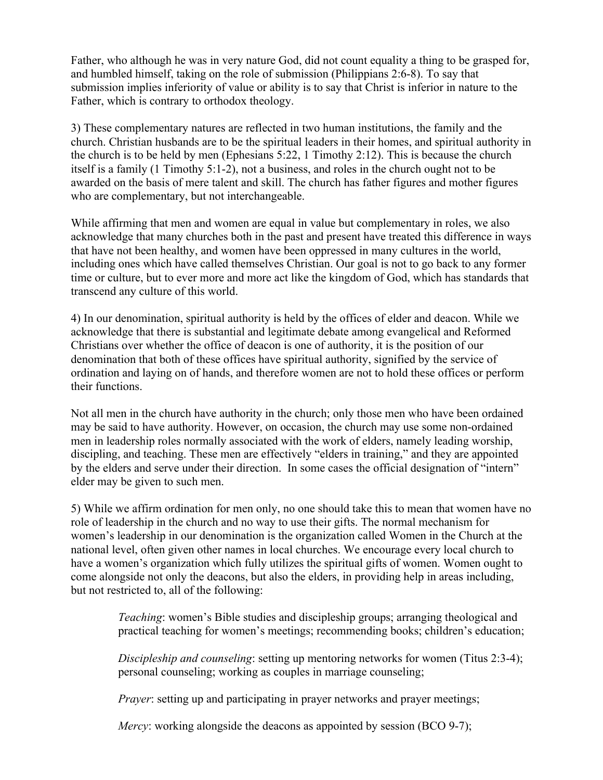Father, who although he was in very nature God, did not count equality a thing to be grasped for, and humbled himself, taking on the role of submission (Philippians 2:6-8). To say that submission implies inferiority of value or ability is to say that Christ is inferior in nature to the Father, which is contrary to orthodox theology.

3) These complementary natures are reflected in two human institutions, the family and the church. Christian husbands are to be the spiritual leaders in their homes, and spiritual authority in the church is to be held by men (Ephesians 5:22, 1 Timothy 2:12). This is because the church itself is a family (1 Timothy 5:1-2), not a business, and roles in the church ought not to be awarded on the basis of mere talent and skill. The church has father figures and mother figures who are complementary, but not interchangeable.

While affirming that men and women are equal in value but complementary in roles, we also acknowledge that many churches both in the past and present have treated this difference in ways that have not been healthy, and women have been oppressed in many cultures in the world, including ones which have called themselves Christian. Our goal is not to go back to any former time or culture, but to ever more and more act like the kingdom of God, which has standards that transcend any culture of this world.

4) In our denomination, spiritual authority is held by the offices of elder and deacon. While we acknowledge that there is substantial and legitimate debate among evangelical and Reformed Christians over whether the office of deacon is one of authority, it is the position of our denomination that both of these offices have spiritual authority, signified by the service of ordination and laying on of hands, and therefore women are not to hold these offices or perform their functions.

Not all men in the church have authority in the church; only those men who have been ordained may be said to have authority. However, on occasion, the church may use some non-ordained men in leadership roles normally associated with the work of elders, namely leading worship, discipling, and teaching. These men are effectively "elders in training," and they are appointed by the elders and serve under their direction. In some cases the official designation of "intern" elder may be given to such men.

5) While we affirm ordination for men only, no one should take this to mean that women have no role of leadership in the church and no way to use their gifts. The normal mechanism for women's leadership in our denomination is the organization called Women in the Church at the national level, often given other names in local churches. We encourage every local church to have a women's organization which fully utilizes the spiritual gifts of women. Women ought to come alongside not only the deacons, but also the elders, in providing help in areas including, but not restricted to, all of the following:

> *Teaching*: women's Bible studies and discipleship groups; arranging theological and practical teaching for women's meetings; recommending books; children's education;

> *Discipleship and counseling*: setting up mentoring networks for women (Titus 2:3-4); personal counseling; working as couples in marriage counseling;

*Prayer*: setting up and participating in prayer networks and prayer meetings;

*Mercy*: working alongside the deacons as appointed by session (BCO 9-7);